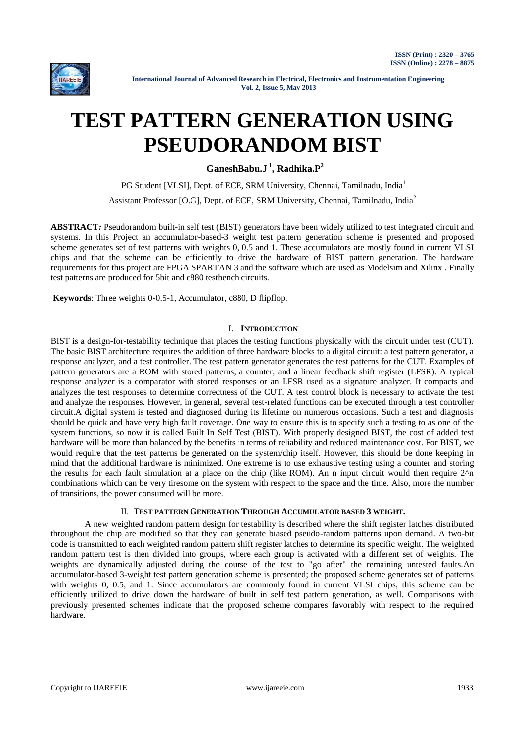

# **TEST PATTERN GENERATION USING PSEUDORANDOM BIST**

**GaneshBabu.J <sup>1</sup> , Radhika.P<sup>2</sup>**

PG Student [VLSI], Dept. of ECE, SRM University, Chennai, Tamilnadu, India<sup>1</sup> Assistant Professor [O.G], Dept. of ECE, SRM University, Chennai, Tamilnadu, India<sup>2</sup>

**ABSTRACT***:* Pseudorandom built-in self test (BIST) generators have been widely utilized to test integrated circuit and systems. In this Project an accumulator-based-3 weight test pattern generation scheme is presented and proposed scheme generates set of test patterns with weights 0, 0.5 and 1. These accumulators are mostly found in current VLSI chips and that the scheme can be efficiently to drive the hardware of BIST pattern generation. The hardware requirements for this project are FPGA SPARTAN 3 and the software which are used as Modelsim and Xilinx . Finally test patterns are produced for 5bit and c880 testbench circuits.

**Keywords**: Three weights 0-0.5-1, Accumulator, c880, D flipflop.

## I. **INTRODUCTION**

BIST is a design-for-testability technique that places the testing functions physically with the circuit under test (CUT). The basic BIST architecture requires the addition of three hardware blocks to a digital circuit: a test pattern generator, a response analyzer, and a test controller. The test pattern generator generates the test patterns for the CUT. Examples of pattern generators are a ROM with stored patterns, a counter, and a linear feedback shift register (LFSR). A typical response analyzer is a comparator with stored responses or an LFSR used as a signature analyzer. It compacts and analyzes the test responses to determine correctness of the CUT. A test control block is necessary to activate the test and analyze the responses. However, in general, several test-related functions can be executed through a test controller circuit.A digital system is tested and diagnosed during its lifetime on numerous occasions. Such a test and diagnosis should be quick and have very high fault coverage. One way to ensure this is to specify such a testing to as one of the system functions, so now it is called Built In Self Test (BIST). With properly designed BIST, the cost of added test hardware will be more than balanced by the benefits in terms of reliability and reduced maintenance cost. For BIST, we would require that the test patterns be generated on the system/chip itself. However, this should be done keeping in mind that the additional hardware is minimized. One extreme is to use exhaustive testing using a counter and storing the results for each fault simulation at a place on the chip (like ROM). An n input circuit would then require  $2^{\wedge}n$ combinations which can be very tiresome on the system with respect to the space and the time. Also, more the number of transitions, the power consumed will be more.

# II. **TEST PATTERN GENERATION THROUGH ACCUMULATOR BASED 3 WEIGHT.**

A new weighted random pattern design for testability is described where the shift register latches distributed throughout the chip are modified so that they can generate biased pseudo-random patterns upon demand. A two-bit code is transmitted to each weighted random pattern shift register latches to determine its specific weight. The weighted random pattern test is then divided into groups, where each group is activated with a different set of weights. The weights are dynamically adjusted during the course of the test to "go after" the remaining untested faults.An accumulator-based 3-weight test pattern generation scheme is presented; the proposed scheme generates set of patterns with weights 0, 0.5, and 1. Since accumulators are commonly found in current VLSI chips, this scheme can be efficiently utilized to drive down the hardware of built in self test pattern generation, as well. Comparisons with previously presented schemes indicate that the proposed scheme compares favorably with respect to the required hardware.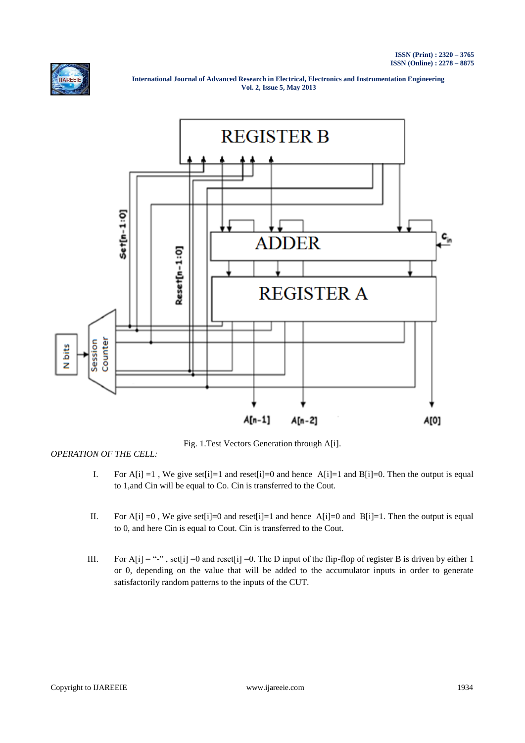



Fig. 1.Test Vectors Generation through A[i].

*OPERATION OF THE CELL:*

- I. For A[i] =1, We give set[i]=1 and reset[i]=0 and hence A[i]=1 and B[i]=0. Then the output is equal to 1,and Cin will be equal to Co. Cin is transferred to the Cout.
- II. For A[i] =0, We give set[i]=0 and reset[i]=1 and hence A[i]=0 and B[i]=1. Then the output is equal to 0, and here Cin is equal to Cout. Cin is transferred to the Cout.
- III. For A[i] = "-", set[i] =0 and reset[i] =0. The D input of the flip-flop of register B is driven by either 1 or 0, depending on the value that will be added to the accumulator inputs in order to generate satisfactorily random patterns to the inputs of the CUT.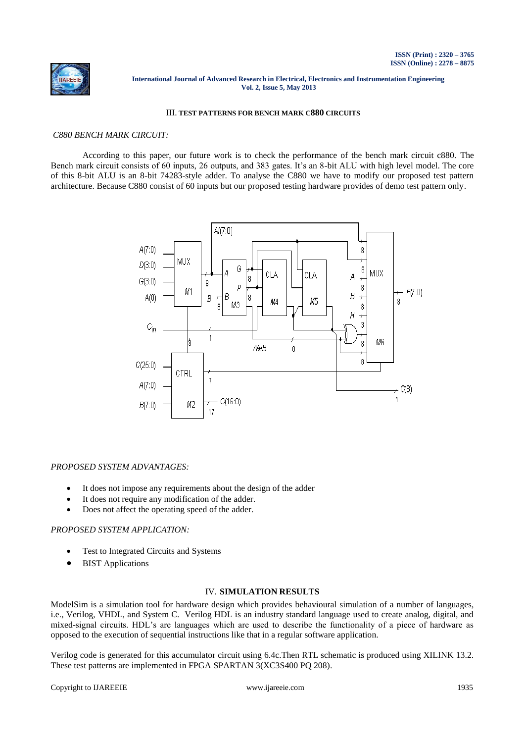

# III. **TEST PATTERNS FOR BENCH MARK C880 CIRCUITS**

#### *C880 BENCH MARK CIRCUIT:*

According to this paper, our future work is to check the performance of the bench mark circuit c880. The Bench mark circuit consists of 60 inputs, 26 outputs, and 383 gates. It's an 8-bit ALU with high level model. The core of this 8-bit ALU is an 8-bit 74283-style adder. To analyse the C880 we have to modify our proposed test pattern architecture. Because C880 consist of 60 inputs but our proposed testing hardware provides of demo test pattern only.



#### *PROPOSED SYSTEM ADVANTAGES:*

- It does not impose any requirements about the design of the adder
- It does not require any modification of the adder.
- Does not affect the operating speed of the adder.

# *PROPOSED SYSTEM APPLICATION:*

- Test to Integrated Circuits and Systems
- BIST Applications

#### IV. **SIMULATION RESULTS**

ModelSim is a simulation tool for hardware design which provides behavioural simulation of a number of languages, i.e., Verilog, VHDL, and System C. Verilog HDL is an industry standard language used to create analog, digital, and mixed-signal circuits. HDL's are languages which are used to describe the functionality of a piece of hardware as opposed to the execution of sequential instructions like that in a regular software application.

Verilog code is generated for this accumulator circuit using 6.4c.Then RTL schematic is produced using XILINK 13.2. These test patterns are implemented in FPGA SPARTAN 3(XC3S400 PQ 208).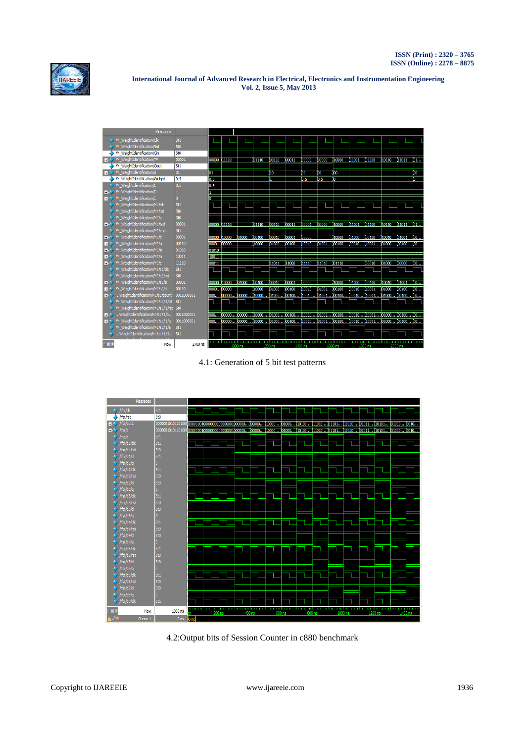



4.1: Generation of 5 bit test patterns



4.2:Output bits of Session Counter in c880 benchmark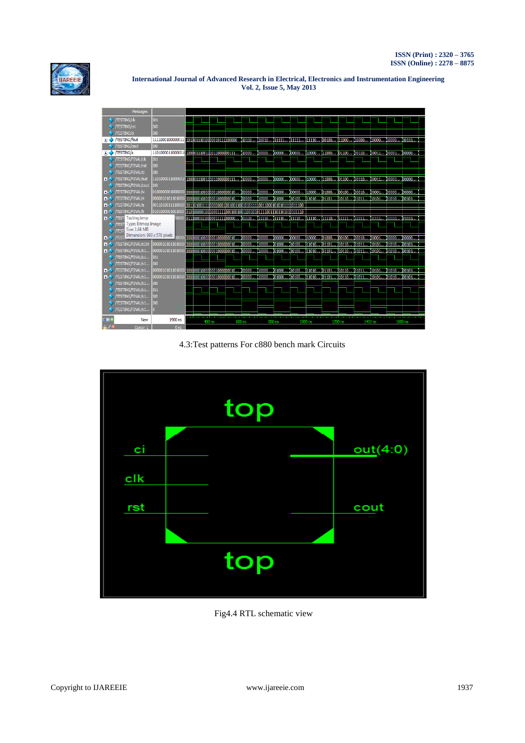



4.3:Test patterns For c880 bench mark Circuits



Fig4.4 RTL schematic view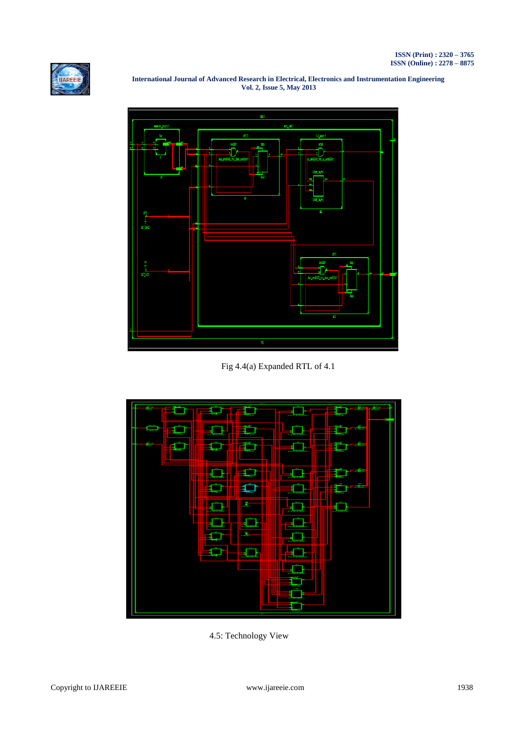



 **International Journal of Advanced Research in Electrical, Electronics and Instrumentation Engineering Vol. 2, Issue 5, May 2013**

Fig 4.4(a) Expanded RTL of 4.1



4.5: Technology View